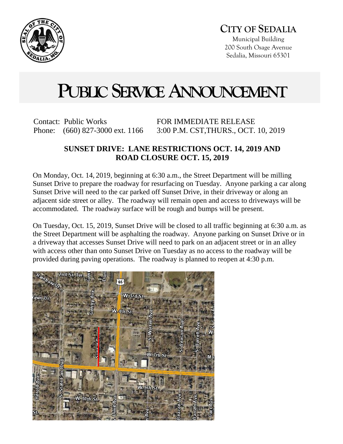

Municipal Building 200 South Osage Avenue Sedalia, Missouri 65301

## **PUBLIC SERVICE ANNOUNCEMENT**

Contact: Public Works Phone: (660) 827-3000 ext. 1166 FOR IMMEDIATE RELEASE 3:00 P.M. CST,THURS., OCT. 10, 2019

## **SUNSET DRIVE: LANE RESTRICTIONS OCT. 14, 2019 AND ROAD CLOSURE OCT. 15, 2019**

On Monday, Oct. 14, 2019, beginning at 6:30 a.m., the Street Department will be milling Sunset Drive to prepare the roadway for resurfacing on Tuesday. Anyone parking a car along Sunset Drive will need to the car parked off Sunset Drive, in their driveway or along an adjacent side street or alley. The roadway will remain open and access to driveways will be accommodated. The roadway surface will be rough and bumps will be present.

On Tuesday, Oct. 15, 2019, Sunset Drive will be closed to all traffic beginning at 6:30 a.m. as the Street Department will be asphalting the roadway. Anyone parking on Sunset Drive or in a driveway that accesses Sunset Drive will need to park on an adjacent street or in an alley with access other than onto Sunset Drive on Tuesday as no access to the roadway will be provided during paving operations. The roadway is planned to reopen at 4:30 p.m.